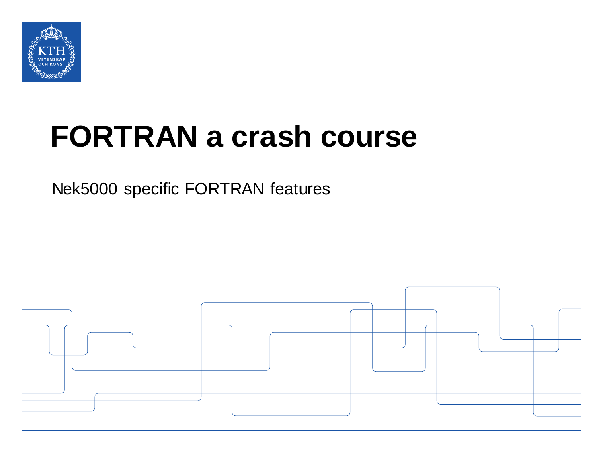

# **FORTRAN a crash course**

Nek5000 specific FORTRAN features

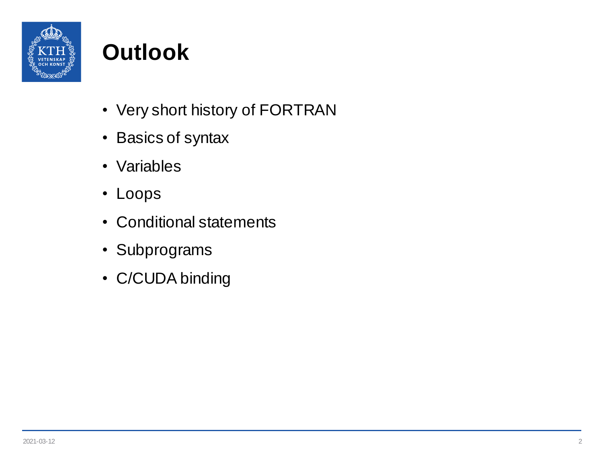

# **Outlook**

- Very short history of FORTRAN
- Basics of syntax
- Variables
- Loops
- Conditional statements
- Subprograms
- C/CUDA binding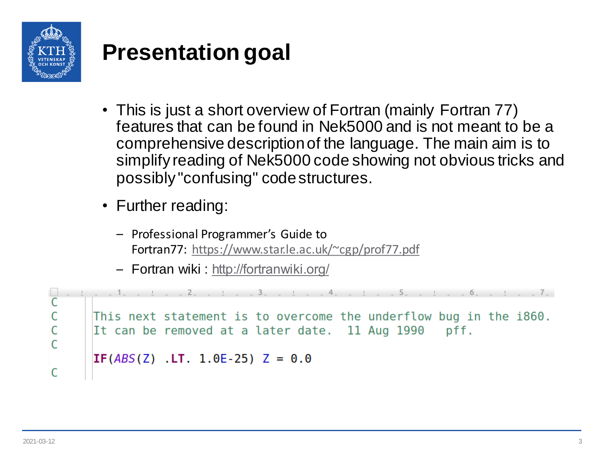

## **Presentation goal**

- This is just a short overview of Fortran (mainly Fortran 77) features that can be found in Nek5000 and is not meant to be a comprehensive description of the language. The main aim is to simplify reading of Nek5000 code showing not obvious tricks and possibly "confusing" code structures.
- Further reading:
	- Professional Programmer's Guide to Fortran77: [https://www.star.le.ac.uk/~cgp/prof77.pdf](https://www.star.le.ac.uk/~ecgp/prof77.pdf)
	- Fortran wiki : [http://fortranwiki.org/](http://fortranwiki.org/​)

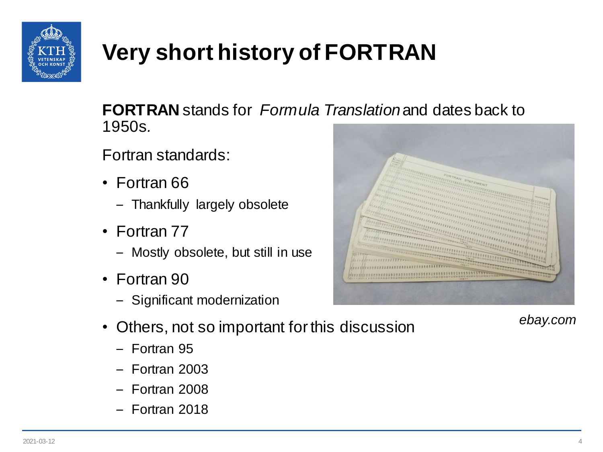

# **Very short history of FORTRAN**

**FORTRAN** stands for *Formula Translation* and dates back to 1950s*.*

Fortran standards:

- Fortran 66
	- Thankfully largely obsolete
- Fortran 77
	- Mostly obsolete, but still in use
- Fortran 90
	- Significant modernization



- Fortran 95
- Fortran 2003
- Fortran 2008
- Fortran 2018



*ebay.com*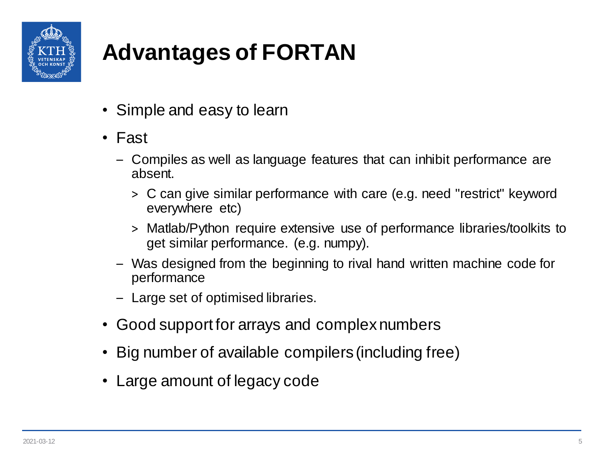

# **Advantages of FORTAN**

- Simple and easy to learn
- Fast
	- Compiles as well as language features that can inhibit performance are absent.
		- > C can give similar performance with care (e.g. need "restrict" keyword everywhere etc)
		- > Matlab/Python require extensive use of performance libraries/toolkits to get similar performance. (e.g. numpy).
	- Was designed from the beginning to rival hand written machine code for performance
	- Large set of optimised libraries.
- Good support for arrays and complex numbers
- Big number of available compilers (including free)
- Large amount of legacy code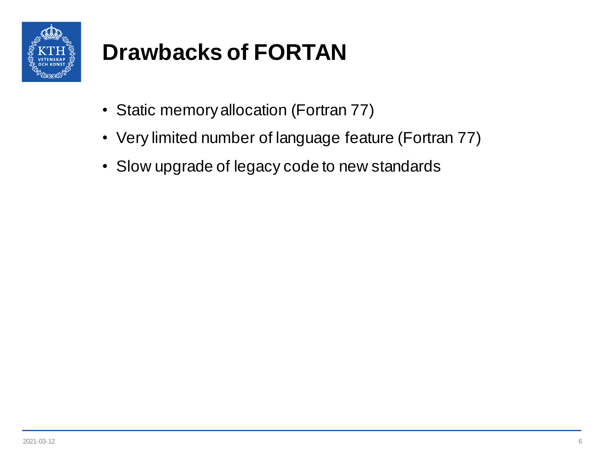

# **Drawbacks of FORTAN**

- Static memory allocation (Fortran 77)
- Very limited number of language feature (Fortran 77)
- Slow upgrade of legacy code to new standards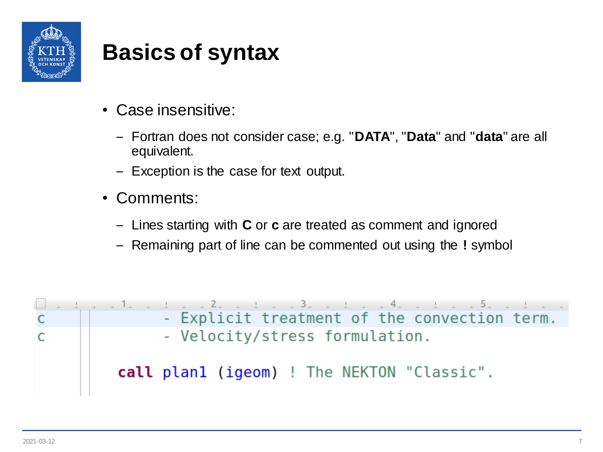

- Case insensitive:
	- Fortran does not consider case; e.g. "**DATA**", "**Data**" and "**data**" are all equivalent.
	- Exception is the case for text output.
- Comments:
	- Lines starting with **C** or **c** are treated as comment and ignored
	- Remaining part of line can be commented out using the **!** symbol

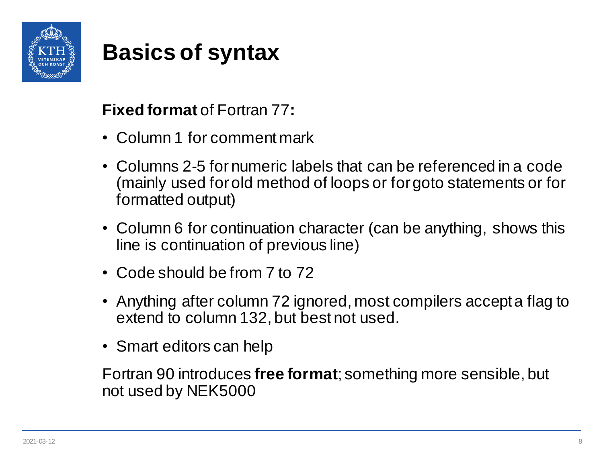

#### **Fixed format** of Fortran 77**:**

- Column 1 for comment mark
- Columns 2-5 for numeric labels that can be referenced in a code (mainly used for old method of loops or for goto statements or for formatted output)
- Column 6 for continuation character (can be anything, shows this line is continuation of previous line)
- Code should be from 7 to 72
- Anything after column 72 ignored, most compilers accept a flag to extend to column 132, but best not used.
- Smart editors can help

Fortran 90 introduces **free format**; something more sensible, but not used by NEK5000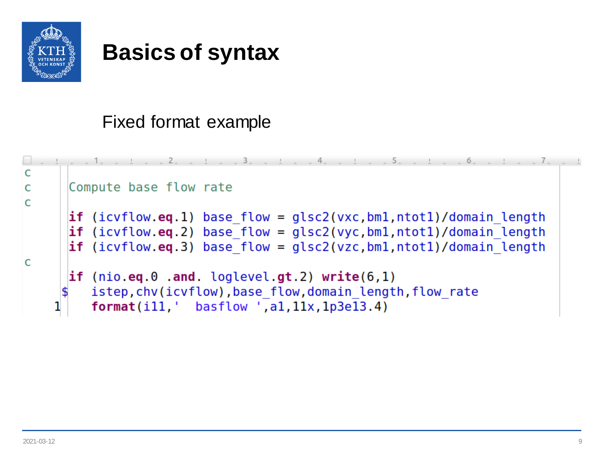

#### Fixed format example

```
C
      Compute base flow rate
\mathsf{C}\mathsf{C}if (icvflow eq. 1) base flow = glc2(vxc,bm1,ntot1)/domain lengthif (icvflow.eq.2) base flow = qlsc2(vyc,bm1,ntot1)/domain length
      if (icvflow.eq.3) base flow = qlc2(vzc,bm1,ntot1)/domain length\mathsf{C}if (nio. eq. 0. and. loglevel. gt. 2) write <math>(6, 1)</math>istep, chv(icvflow), base flow, domain length, flow rate
          format(i11, ' basic low ', a1, 11x, 1p3e13.4)
```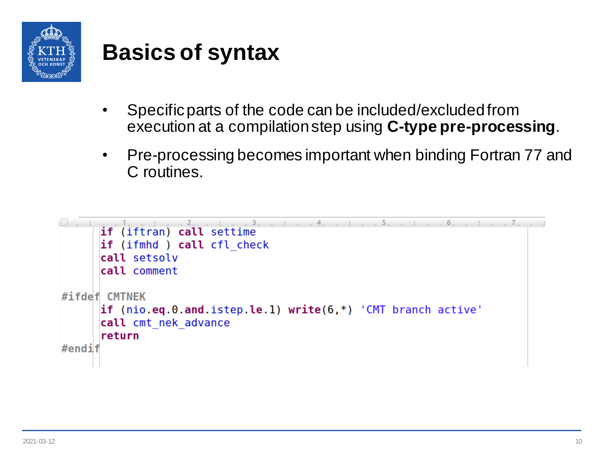

- Specific parts of the code can be included/excluded from execution at a compilation step using **C-type pre-processing**.
- Pre-processing becomes important when binding Fortran 77 and C routines.

```
\overline{5}6
                                                                           \overline{7}.
      if (iftran) call settime
      if (ifmhd ) call cfl check
      call setsolv
      call comment
#ifdef CMTNFK
      if (nio.eq.0.and.istep.le.1) write(6,*) 'CMT branch active'
      call cmt nek advance
      return
#endif
```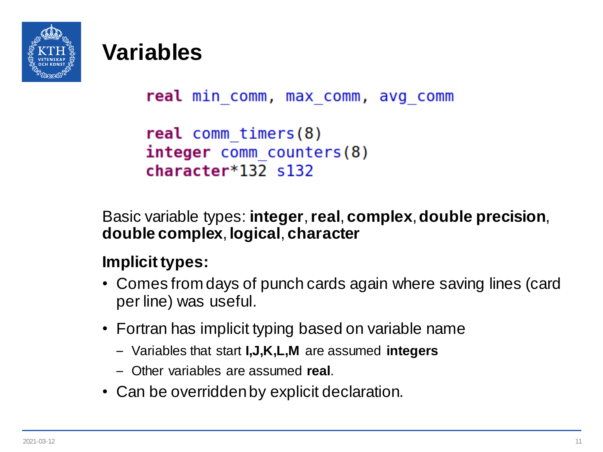

```
real min comm, max comm, avg comm
```

```
real comm timers(8)
integer comm counters(8)
character*132 s132
```
Basic variable types: **integer**, **real**, **complex**, **double precision**, **double complex**, **logical**, **character**

#### **Implicit types:**

- Comes from days of punch cards again where saving lines (card per line) was useful.
- Fortran has implicit typing based on variable name
	- Variables that start **I,J,K,L,M** are assumed **integers**
	- Other variables are assumed **real**.
- Can be overridden by explicit declaration.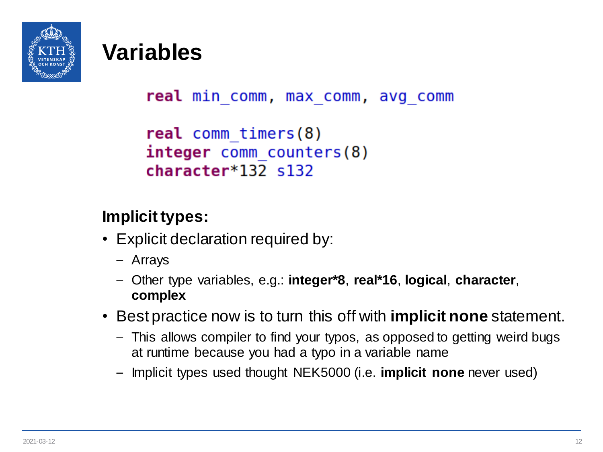

```
real min comm, max comm, avg comm
```

```
real comm timers(8)
integer comm counters(8)
character*132 s132
```
#### **Implicit types:**

- Explicit declaration required by:
	- Arrays
	- Other type variables, e.g.: **integer\*8**, **real\*16**, **logical**, **character**, **complex**
- Best practice now is to turn this off with **implicit none** statement.
	- This allows compiler to find your typos, as opposed to getting weird bugs at runtime because you had a typo in a variable name
	- Implicit types used thought NEK5000 (i.e. **implicit none** never used)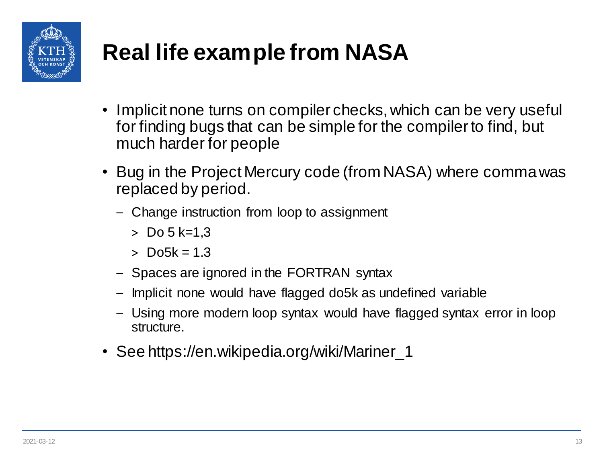

# **Real life example from NASA**

- Implicit none turns on compiler checks, which can be very useful for finding bugs that can be simple for the compiler to find, but much harder for people
- Bug in the Project Mercury code (from NASA) where comma was replaced by period.
	- Change instruction from loop to assignment
		- $>$  Do 5 k=1.3
		- $>$  Do<sub>5k</sub> = 1.3
	- Spaces are ignored in the FORTRAN syntax
	- Implicit none would have flagged do5k as undefined variable
	- Using more modern loop syntax would have flagged syntax error in loop structure.
- See https://en.wikipedia.org/wiki/Mariner\_1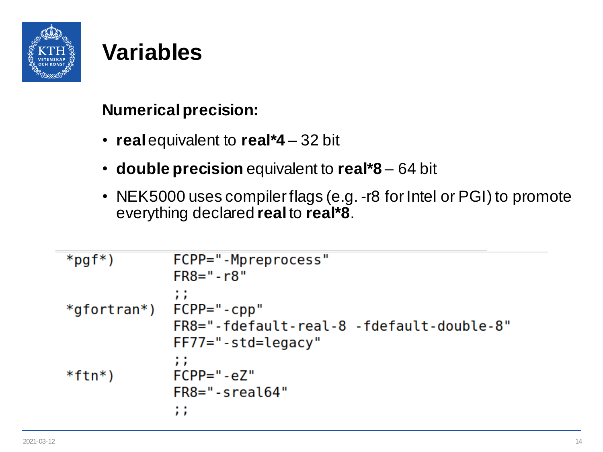

#### **Numerical precision:**

- **real** equivalent to **real\*4** 32 bit
- **double precision** equivalent to **real\*8** 64 bit
- NEK5000 uses compiler flags (e.g. -r8 for Intel or PGI) to promote everything declared **real** to **real\*8**.

```
*pgf*)
              FCPP="-Mpreprocess"
              FR8 = " - r8"11
*gfortran*) FCPP="-cpp"
              FR8="-fdefault-real-8 -fdefault-double-8"
              FF77="-std=legacy"
              11
              FCPP = " - e7"*ftn*)FR8 = "sreal64"11
```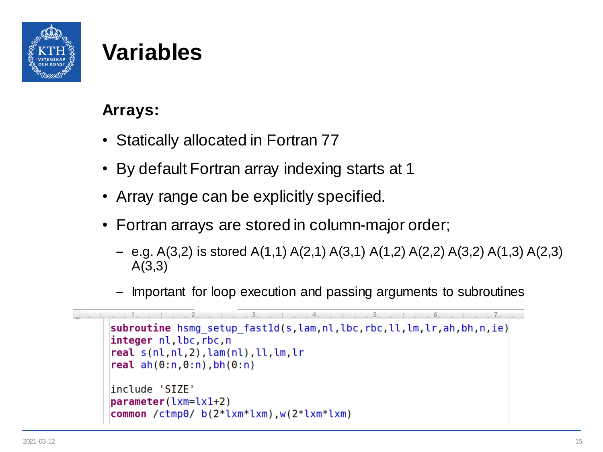

#### **Arrays:**

- Statically allocated in Fortran 77
- By default Fortran array indexing starts at 1
- Array range can be explicitly specified.
- Fortran arrays are stored in column-major order;
	- e.g.  $A(3,2)$  is stored  $A(1,1)$   $A(2,1)$   $A(3,1)$   $A(1,2)$   $A(2,2)$   $A(3,2)$   $A(1,3)$   $A(2,3)$ A(3,3)
	- Important for loop execution and passing arguments to subroutines

```
4 \times 5subroutine hsmq setup fast1d(s,lam,nl,lbc,rbc,ll,lm,lr,ah,bh,n,ie)
integer nl, lbc, rbc, n
real s(nl, nl, 2), lam(nl), ll, lm, lrreal ah(0:n, 0:n), bh(0:n)include 'SIZE'
parameter(lxm=lx1+2)common /ctmp0/ b(2^*lxm*lxm), w(2^*lxm*lxm)
```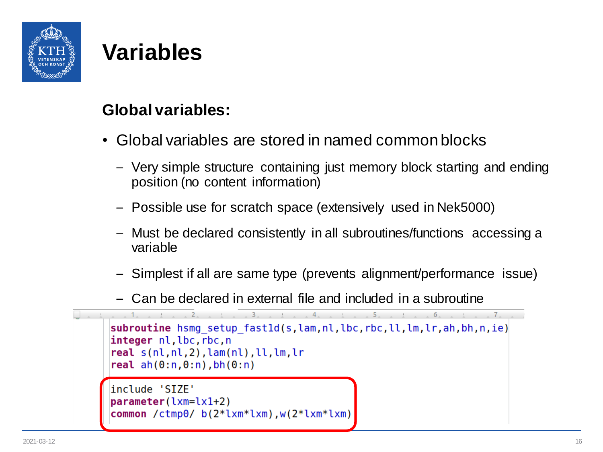

#### **Global variables:**

- Global variables are stored in named common blocks
	- Very simple structure containing just memory block starting and ending position (no content information)
	- Possible use for scratch space (extensively used in Nek5000)
	- Must be declared consistently in all subroutines/functions accessing a variable
	- Simplest if all are same type (prevents alignment/performance issue)
	- Can be declared in external file and included in a subroutine

```
subroutine hsmq setup fast1d(s,lam,nl,lbc,rbc,ll,lm,lr,ah,bh,n,ie)
integer nl, lbc, rbc, n
real s(nl, nl, 2), lam(nl), ll, lm, lrreal ah(0:n, 0:n), bh(0:n)include 'SIZE'
parameter(lxm=lx1+2)common /ctmp0/ b(2*lxm*lxm),w(2*lxm*lxm)
```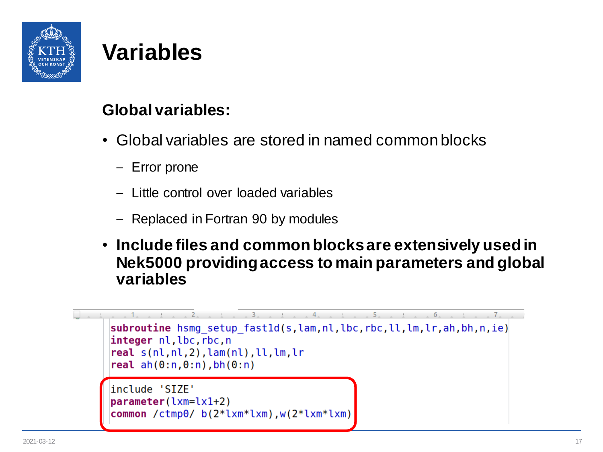

#### **Global variables:**

- Global variables are stored in named common blocks
	- Error prone
	- Little control over loaded variables
	- Replaced in Fortran 90 by modules
- **Include files and common blocks are extensively used in Nek5000 providing access to main parameters and global variables**

```
subroutine hsmq setup fast1d(s,lam,nl,lbc,rbc,ll,lm,lr,ah,bh,n,ie)
integer nl, lbc, rbc, n
real s(nl, nl, 2), lam(nl), ll, lm, lrreal ah(0:n, 0:n), bh(0:n)include 'SIZE'
parameter(lxm=lx1+2)common /ctmp0/ b(2*lxm*lxm),w(2*lxm*lxm)
```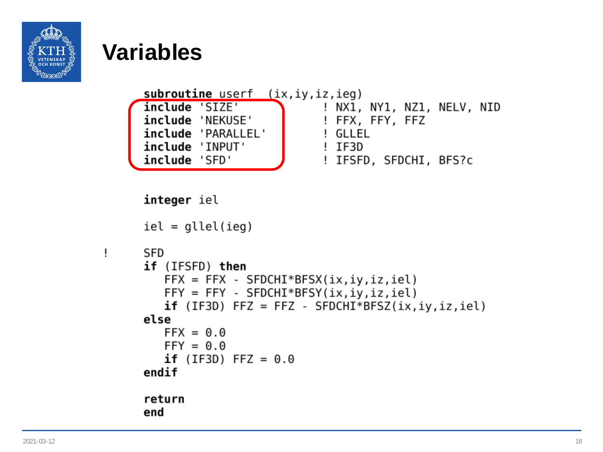

Ţ

```
subroutine userf (ix, iy, iz, ieg)
include 'SIZE'
                           ! NX1, NY1, NZ1, NELV, NID
include 'NEKUSE'
                           ! FFX, FFY, FFZ
include 'PARALLEL'
                           ! GLLEL
include 'INPUT'
                            ! IF3D
include 'SFD'
                           ! IFSFD, SFDCHI, BFS?c
```

```
integer iel
iel = qllel(ieq)SFD
if (IFSFD) then
  FFX = FFX - SFDCHI*BFSX(ix,iy,iz,iel)FFY = FFY - SFDCHI*BFSY(ix,iy,iz,iel)if (IF3D) FFZ = FFZ - SFDCHI*BFSZ(ix,iy,iz,iel)else
  FFX = 0.0FFY = 0.0if (IF3D) FFZ = 0.0endif
return
end
```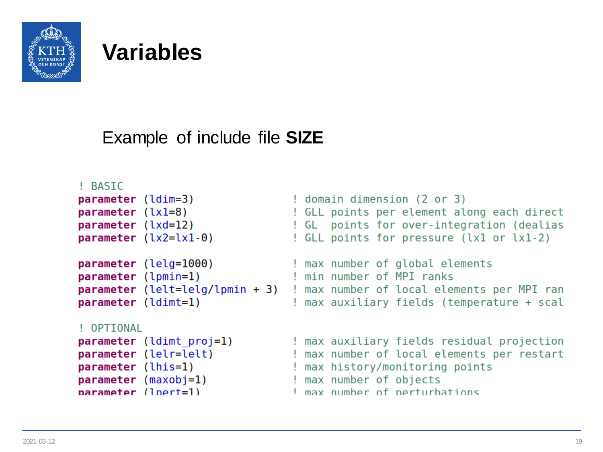

#### Example of include file **SIZE**

#### ! BASTC

```
! domain dimension (2 or 3)
parameter (ldim=3)
                                 ! GLL points per element along each direct
parameter (lx1=8)parameter (lxd=12)
                                 ! GL points for over-integration (dealias
parameter (lx2=lx1-0)! GLL points for pressure (1x1 or 1x1-2)
                                 ! max number of global elements
parameter (lelg=1000)
parameter (lpmin=1)
                                 I min number of MPT ranks
parameter (lelt=lela/lpmin + 3)
                                 ! max number of local elements per MPI ran
parameter (ldimt=1)
                                 ! max auxiliary fields (temperature + scal
! OPTIONAL
parameter (ldimt proj=1)
                                 ! max auxiliary fields residual projection
parameter (lelr=lelt)
                                   max number of local elements per restart
parameter (lhis=1)
                                   max history/monitoring points
parameter (maxobj=1)max number of objects
narameter (Inert=1)I max number of perturbations
```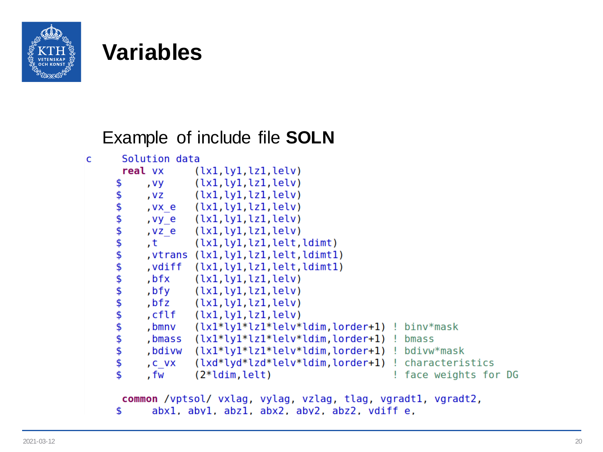

#### Example of include file **SOLN**

| C | Solution data |        |                                                                           |  |                       |  |  |  |
|---|---------------|--------|---------------------------------------------------------------------------|--|-----------------------|--|--|--|
|   |               |        | $real v \times (lx1, ly1, lz1, lelv)$                                     |  |                       |  |  |  |
|   | \$            |        | vy (lx1,ly1,lz1,lelv),                                                    |  |                       |  |  |  |
|   | \$            |        | vz (lx1,ly1,lz1,lelv),                                                    |  |                       |  |  |  |
|   | \$            |        | , vx e (lx1, ly1, lz1, lelv)                                              |  |                       |  |  |  |
|   | \$            |        | , vy e (lx1, ly1, lz1, lelv)                                              |  |                       |  |  |  |
|   | \$            |        | vze (lx1,ly1,lz1,lelv),                                                   |  |                       |  |  |  |
|   | \$            |        | t (lx1,ly1,lz1,lelt,ldimt)                                                |  |                       |  |  |  |
|   | \$            |        | vtrans (lx1,ly1,lz1,lelt,ldimt1),                                         |  |                       |  |  |  |
|   | \$            |        | vdiff (lx1,ly1,lz1,lelt,ldimt1),                                          |  |                       |  |  |  |
|   | \$            |        | bfx (lx1,ly1,lz1,lelv),                                                   |  |                       |  |  |  |
|   | \$            |        | $\mathsf{b}$ fy $(\lceil x_1, \lceil y_1, \lceil z_1, \lceil z_1 \rceil)$ |  |                       |  |  |  |
|   | \$            |        | bfz (lx1,ly1,lz1,lelv),                                                   |  |                       |  |  |  |
|   | \$            |        | cflf (lx1,ly1,lz1,lelv),                                                  |  |                       |  |  |  |
|   | \$            |        | , bmnv $(lx1^*ly1^*lz1^*lelv^*ldim$ , lorder+1) ! binv $*$ mask           |  |                       |  |  |  |
|   | \$            |        | bmass $(lx1^*ly1^*lz1^*lelv^*ldim.lorder+1)$ ! bmass                      |  |                       |  |  |  |
|   | \$            | ,bdivw | (lx1*ly1*lz1*lelv*ldim,lorder+1) ! bdivw*mask                             |  |                       |  |  |  |
|   | \$            | , C VX | (lxd*lyd*lzd*lelv*ldim, lorder+1) ! characteristics                       |  |                       |  |  |  |
|   | \$            | , fw   | $(2*ldim,let)$                                                            |  | ! face weights for DG |  |  |  |
|   |               |        | common /vptsol/ vxlag. vvlag. vzlag. tlag. vgradt1. vgradt2.              |  |                       |  |  |  |

```
abx1, aby1, abz1, abx2, aby2, abz2, vdiff e,
\mathsf{\$}
```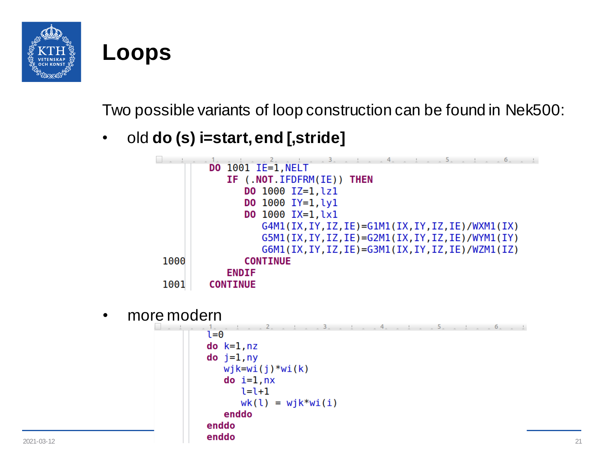

#### **Loops**

Two possible variants of loop construction can be found in Nek500:

• old **do (s) i=start, end [,stride]**



• more modern

```
\frac{1}{2} \frac{1}{2} \frac{5}{2} \frac{1}{2}i=0do k=1, nzdo j=1, nywjk=wi(j)*wi(k)do i=1,nx1 = 1 + 1wk(1) = wjk*w(i)enddo
                        enddo
2021-03-12 21
```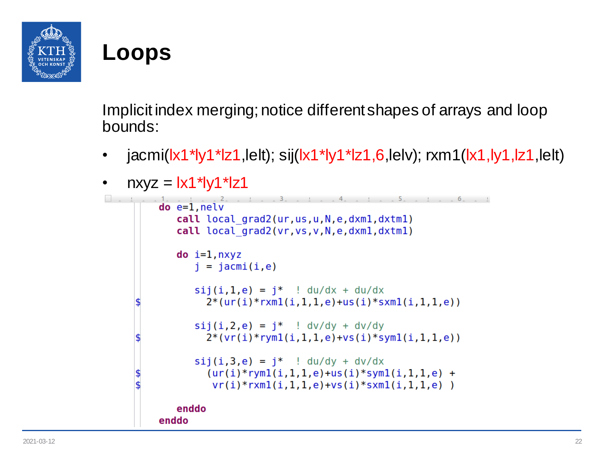

#### **Loops**

Implicit index merging; notice different shapes of arrays and loop bounds:

• jacmi(lx1\*ly1\*lz1,lelt); sij(lx1\*ly1\*lz1,6,lelv); rxm1(lx1,ly1,lz1,lelt)

```
nxyz = |x1*|y1*|z1\sim \sim \sim \sim \sim \simdo e=1, nelvcall local grad2(ur.us.u.N.e.dxml.dxtml)
         call local grad2(vr, vs, v, N, e, dxml, dxtml)
         do i=1, nxyzj = jacmi(i, e)sii(i,1,e) = i^* ! du/dx + du/dx2*(ur(i)*rxml(i, 1, 1, e) +us(i) *sxml(i, 1, 1, e))
            sij(i,2,e) = j^* ! dv/dy + dv/dy2*(vr(i)*rym1(i,1,1,e)+vs(i)*sym1(i,1,1,e))sij(i,3,e) = i^* ! du/dy + dv/dx(ur(i)*rym1(i,1,1,e)+us(i)*sym1(i,1,1,e) +vr(i)*rxm1(i,1,1,e)+vs(i)*sxm1(i,1,1,e) )enddo
     enddo
```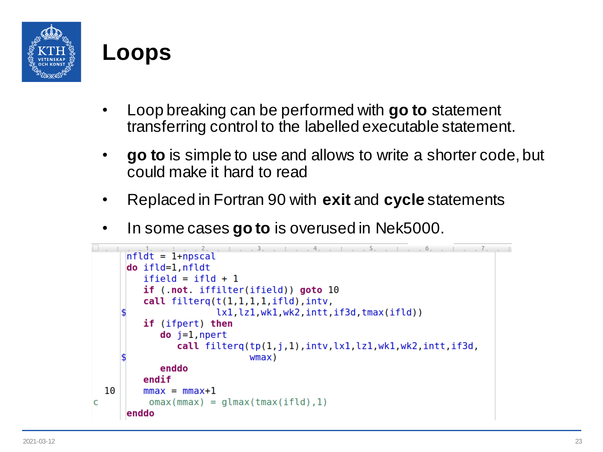

#### **Loops**

- Loop breaking can be performed with **go to** statement transferring control to the labelled executable statement.
- **go to** is simple to use and allows to write a shorter code, but could make it hard to read
- Replaced in Fortran 90 with **exit** and **cycle** statements
- In some cases **go to** is overused in Nek5000.

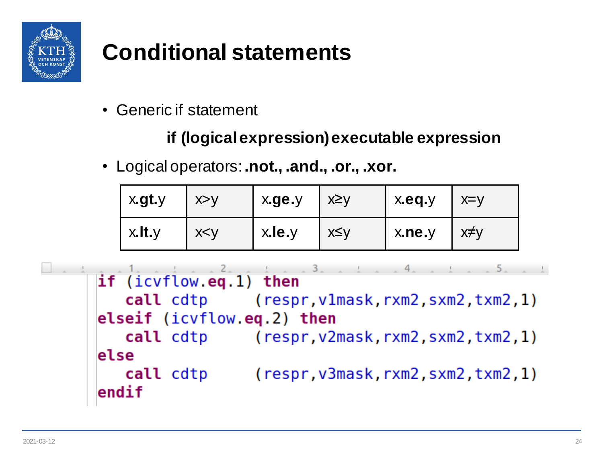

# **Conditional statements**

• Generic if statement

#### **if (logical expression) executable expression**

• Logical operators: **.not., .and., .or., .xor.**

| x.gt.y       | X > V | x.ge.y | ∣ x≥y | $^{\circ}$ x.eq.y             | $\vert$ x=y |
|--------------|-------|--------|-------|-------------------------------|-------------|
| $x.$ It. $y$ | X < V | x.le.y | x≤y   | x <sub>n</sub> e <sub>y</sub> | x≠v         |

```
if (icvflow.eq.1) then
   call cdtp (respr, v1mask, rxm2, sxm2, txm2, 1)
elseif (ivflow, eq. 2) then
   call cdtp (respr, v2mask, rxm2, sxm2, txm2, 1)
else
   call cdtp
                 (respr, v3mask, rxm2, sxm2, txm2, 1)endif
```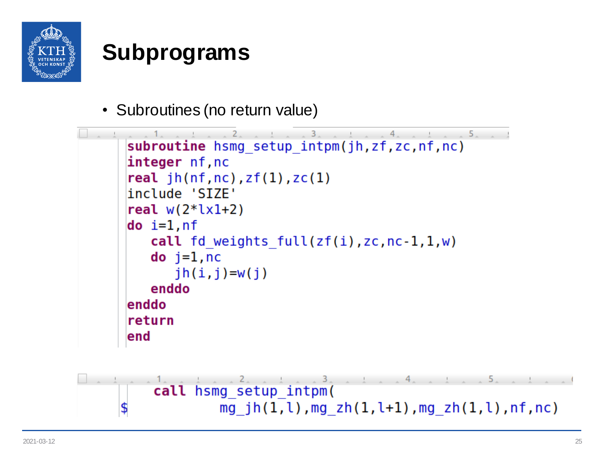

• Subroutines (no return value)

```
5.1subroutine hsmg setup intpm(jh,zf,zc,nf,nc)
integer nf, nc
real jh(nf, nc), zf(1), zc(1)include 'SIZE'
real w(2 * l \times l + 2)do i=1, nf
   call fd weights full(zf(i),zc,nc-1,1,w)\mathsf{do} j=1, nc
      jh(i, j) = w(j)enddo
enddo
return
end
```
call hsmg setup intpm( mg  $jh(1, l)$ , mg  $zh(1, l+1)$ , mg  $zh(1, l)$ , nf, nc) \$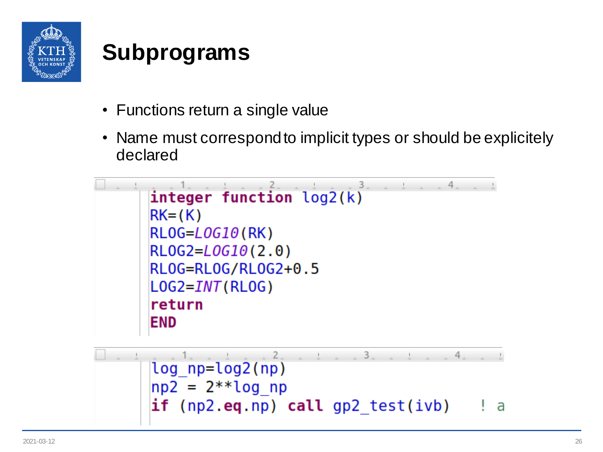

- Functions return a single value
- Name must correspond to implicit types or should be explicitely declared



$$
\begin{array}{|l|l|}\n\hline\n\text{log}^1 \text{np}= \text{log}^2(\text{np}) \\
\text{np2} = 2^{**} \text{log}^1 \text{np} \\
\text{if (np2.eq,np) call gp2_test(ivb)} \\
\hline\n\end{array}
$$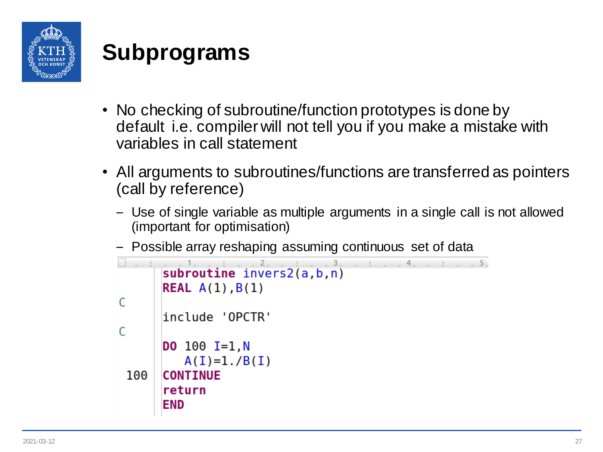

- No checking of subroutine/function prototypes is done by default i.e. compiler will not tell you if you make a mistake with variables in call statement
- All arguments to subroutines/functions are transferred as pointers (call by reference)
	- Use of single variable as multiple arguments in a single call is not allowed (important for optimisation)
	- Possible array reshaping assuming continuous set of data

```
\mathcal{L}4 \qquad \qquad 5 \qquadsubroutine invers2(a, b, n)
       REAL A(1), B(1)C
       include 'OPCTR'
C
       DO 100 I=1,NA(I)=1./B(I)100
       CONTINUE
       return
       END
```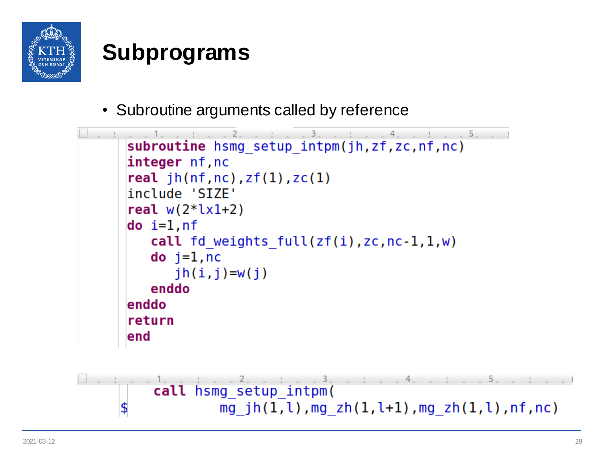

• Subroutine arguments called by reference

```
5.1subroutine hsmg setup intpm(jh,zf,zc,nf,nc)
integer nf, nc
real jh(nf, nc), zf(1), zc(1)include 'SIZE'
real w(2 * l \times l + 2)do i=1, nf
   call fd weights full(zf(i),zc,nc-1,1,w)do j=1, nc
      jh(i, j) = w(j)enddo
enddo
return
end
```
call hsmg setup intpm( mg  $jh(1, l)$ , mg  $zh(1, l+1)$ , mg  $zh(1, l)$ , nf, nc) \$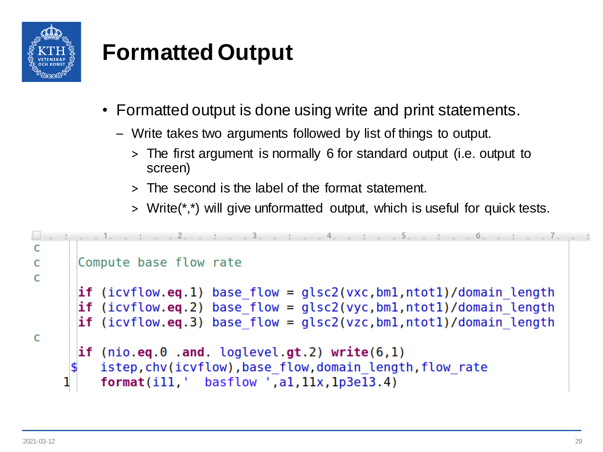

# **Formatted Output**

- Formatted output is done using write and print statements.
	- Write takes two arguments followed by list of things to output.
		- > The first argument is normally 6 for standard output (i.e. output to screen)
		- > The second is the label of the format statement.
		- > Write(\*,\*) will give unformatted output, which is useful for quick tests.

```
\BoxC
      Compute base flow rate
C
C
      if (icvflow.eq.1) base flow = qlsc2(vxc.bm1.ntot1)/domain length
      if (icvflow.eq.2) base flow = qlsc2(vyc,bm1,ntot1)/domain length
      if (icvflow.eq.3) base flow = qlsc2(vzc,bm1,ntot1)/domain lengthC
      if (nio.eq.0.and. loglevel.get.2) write(6,1)istep, chv(icvflow), base flow, domain length, flow rate
         format(i11, ' basicflow', a1, 11x, 1p3e13.4)
```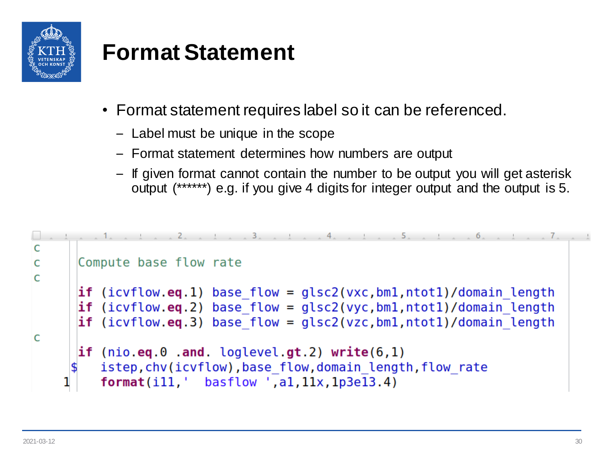

#### **Format Statement**

- Format statement requires label so it can be referenced.
	- Label must be unique in the scope
	- Format statement determines how numbers are output
	- If given format cannot contain the number to be output you will get asterisk output (\*\*\*\*\*\*) e.g. if you give 4 digits for integer output and the output is 5.

```
\BoxC
      Compute base flow rate
C
C
      if (icvflow.eq.1) base flow = glsc2(vxc,bm1,ntot1)/domain lengthif (icvflow.eq.2) base flow = qlc2(vyc,bm1,ntot1)/domain lengthif (icvflow.eq.3) base flow = qlsc2(vzc,bm1,ntot1)/domain lengthC
      if (nio.eq.0.and. loglevel.get.2) write(6,1)istep, chv(icvflow), base flow, domain length, flow rate
         format(i11, ' basic low ', a1, 11x, 1p3e13.4)
```